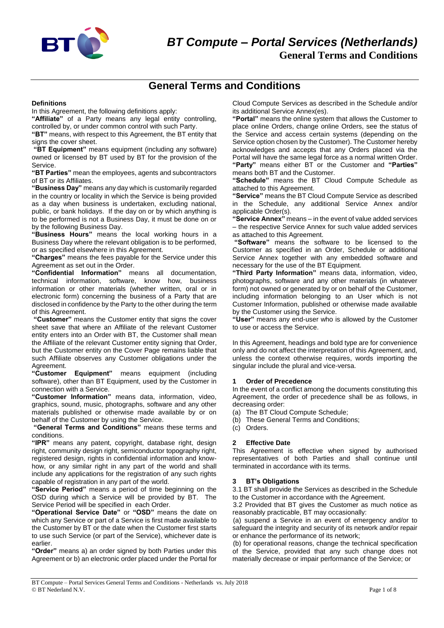

# **General Terms and Conditions**

### **Definitions**

In this Agreement, the following definitions apply:

**"Affiliate"** of a Party means any legal entity controlling, controlled by, or under common control with such Party.

**"BT"** means, with respect to this Agreement, the BT entity that signs the cover sheet.

**"BT Equipment"** means equipment (including any software) owned or licensed by BT used by BT for the provision of the Service.

**"BT Parties"** mean the employees, agents and subcontractors of BT or its Affiliates.

**"Business Day"** means any day which is customarily regarded in the country or locality in which the Service is being provided as a day when business is undertaken, excluding national, public, or bank holidays. If the day on or by which anything is to be performed is not a Business Day, it must be done on or by the following Business Day.

**"Business Hours"** means the local working hours in a Business Day where the relevant obligation is to be performed, or as specified elsewhere in this Agreement.

**"Charges"** means the fees payable for the Service under this Agreement as set out in the Order.

**"Confidential Information"** means all documentation, technical information, software, know how, business information or other materials (whether written, oral or in electronic form) concerning the business of a Party that are disclosed in confidence by the Party to the other during the term of this Agreement.

**"Customer"** means the Customer entity that signs the cover sheet save that where an Affiliate of the relevant Customer entity enters into an Order with BT, the Customer shall mean the Affiliate of the relevant Customer entity signing that Order, but the Customer entity on the Cover Page remains liable that such Affiliate observes any Customer obligations under the Agreement.

**"Customer Equipment"** means equipment (including software), other than BT Equipment, used by the Customer in connection with a Service.

**"Customer Information"** means data, information, video, graphics, sound, music, photographs, software and any other materials published or otherwise made available by or on behalf of the Customer by using the Service.

**"General Terms and Conditions"** means these terms and conditions.

**"IPR"** means any patent, copyright, database right, design right, community design right, semiconductor topography right, registered design, rights in confidential information and knowhow, or any similar right in any part of the world and shall include any applications for the registration of any such rights capable of registration in any part of the world.

**"Service Period"** means a period of time beginning on the OSD during which a Service will be provided by BT. The Service Period will be specified in each Order.

**"Operational Service Date"** or **"OSD"** means the date on which any Service or part of a Service is first made available to the Customer by BT or the date when the Customer first starts to use such Service (or part of the Service), whichever date is earlier.

**"Order"** means a) an order signed by both Parties under this Agreement or b) an electronic order placed under the Portal for Cloud Compute Services as described in the Schedule and/or its additional Service Annex(es).

**"Portal"** means the online system that allows the Customer to place online Orders, change online Orders, see the status of the Service and access certain systems (depending on the Service option chosen by the Customer). The Customer hereby acknowledges and accepts that any Orders placed via the Portal will have the same legal force as a normal written Order. **"Party"** means either BT or the Customer and **"Parties"** means both BT and the Customer.

**"Schedule"** means the BT Cloud Compute Schedule as attached to this Agreement.

**"Service"** means the BT Cloud Compute Service as described in the Schedule, any additional Service Annex and/or applicable Order(s).

**"Service Annex"** means – in the event of value added services – the respective Service Annex for such value added services as attached to this Agreement.

**"Software"** means the software to be licensed to the Customer as specified in an Order, Schedule or additional Service Annex together with any embedded software and necessary for the use of the BT Equipment.

**"Third Party Information"** means data, information, video, photographs, software and any other materials (in whatever form) not owned or generated by or on behalf of the Customer, including information belonging to an User which is not Customer Information, published or otherwise made available by the Customer using the Service.

**"User"** means any end-user who is allowed by the Customer to use or access the Service.

In this Agreement, headings and bold type are for convenience only and do not affect the interpretation of this Agreement, and, unless the context otherwise requires, words importing the singular include the plural and vice-versa.

# **1 Order of Precedence**

In the event of a conflict among the documents constituting this Agreement, the order of precedence shall be as follows, in decreasing order:

- (a) The BT Cloud Compute Schedule;
- (b) These General Terms and Conditions;
- (c) Orders.

# **2 Effective Date**

This Agreement is effective when signed by authorised representatives of both Parties and shall continue until terminated in accordance with its terms.

# **3 BT's Obligations**

3.1 BT shall provide the Services as described in the Schedule to the Customer in accordance with the Agreement.

3.2 Provided that BT gives the Customer as much notice as reasonably practicable, BT may occasionally:

(a) suspend a Service in an event of emergency and/or to safeguard the integrity and security of its network and/or repair or enhance the performance of its network;

(b) for operational reasons, change the technical specification of the Service, provided that any such change does not materially decrease or impair performance of the Service; or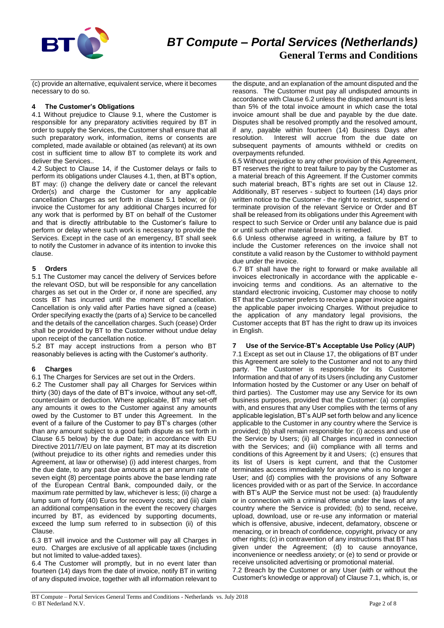

(c) provide an alternative, equivalent service, where it becomes necessary to do so.

# **4 The Customer's Obligations**

4.1 Without prejudice to Clause 9.1, where the Customer is responsible for any preparatory activities required by BT in order to supply the Services, the Customer shall ensure that all such preparatory work, information, items or consents are completed, made available or obtained (as relevant) at its own cost in sufficient time to allow BT to complete its work and deliver the Services..

4.2 Subject to Clause 14, if the Customer delays or fails to perform its obligations under Clauses 4.1, then, at BT's option, BT may: (i) change the delivery date or cancel the relevant Order(s) and charge the Customer for any applicable cancellation Charges as set forth in clause 5.1 below; or (ii) invoice the Customer for any additional Charges incurred for any work that is performed by BT on behalf of the Customer and that is directly attributable to the Customer's failure to perform or delay where such work is necessary to provide the Services. Except in the case of an emergency, BT shall seek to notify the Customer in advance of its intention to invoke this clause.

# **5 Orders**

5.1 The Customer may cancel the delivery of Services before the relevant OSD, but will be responsible for any cancellation charges as set out in the Order or, if none are specified, any costs BT has incurred until the moment of cancellation. Cancellation is only valid after Parties have signed a (cease) Order specifying exactly the (parts of a) Service to be cancelled and the details of the cancellation charges. Such (cease) Order shall be provided by BT to the Customer without undue delay upon receipt of the cancellation notice.

5.2 BT may accept instructions from a person who BT reasonably believes is acting with the Customer's authority.

# **6 Charges**

6.1 The Charges for Services are set out in the Orders.

6.2 The Customer shall pay all Charges for Services within thirty (30) days of the date of BT's invoice, without any set-off, counterclaim or deduction. Where applicable, BT may set-off any amounts it owes to the Customer against any amounts owed by the Customer to BT under this Agreement. In the event of a failure of the Customer to pay BT's charges (other than any amount subject to a good faith dispute as set forth in Clause 6.5 below) by the due Date; in accordance with EU Directive 2011/7/EU on late payment, BT may at its discretion (without prejudice to its other rights and remedies under this Agreement, at law or otherwise) (i) add interest charges, from the due date, to any past due amounts at a per annum rate of seven eight (8) percentage points above the base lending rate of the European Central Bank, compounded daily, or the maximum rate permitted by law, whichever is less; (ii) charge a lump sum of forty (40) Euros for recovery costs; and (iii) claim an additional compensation in the event the recovery charges incurred by BT, as evidenced by supporting documents, exceed the lump sum referred to in subsection (ii) of this Clause.

6.3 BT will invoice and the Customer will pay all Charges in euro. Charges are exclusive of all applicable taxes (including but not limited to value-added taxes).

6.4 The Customer will promptly, but in no event later than fourteen (14) days from the date of invoice, notify BT in writing of any disputed invoice, together with all information relevant to

the dispute, and an explanation of the amount disputed and the reasons. The Customer must pay all undisputed amounts in accordance with Clause 6.2 unless the disputed amount is less than 5% of the total invoice amount in which case the total invoice amount shall be due and payable by the due date. Disputes shall be resolved promptly and the resolved amount, if any, payable within fourteen (14) Business Days after resolution. Interest will accrue from the due date on subsequent payments of amounts withheld or credits on overpayments refunded.

6.5 Without prejudice to any other provision of this Agreement, BT reserves the right to treat failure to pay by the Customer as a material breach of this Agreement. If the Customer commits such material breach, BT's rights are set out in Clause 12. Additionally, BT reserves - subject to fourteen (14) days prior written notice to the Customer - the right to restrict, suspend or terminate provision of the relevant Service or Order and BT shall be released from its obligations under this Agreement with respect to such Service or Order until any balance due is paid or until such other material breach is remedied.

6.6 Unless otherwise agreed in writing, a failure by BT to include the Customer references on the invoice shall not constitute a valid reason by the Customer to withhold payment due under the invoice.

6.7 BT shall have the right to forward or make available all invoices electronically in accordance with the applicable einvoicing terms and conditions. As an alternative to the standard electronic invoicing, Customer may choose to notify BT that the Customer prefers to receive a paper invoice against the applicable paper invoicing Charges. Without prejudice to the application of any mandatory legal provisions, the Customer accepts that BT has the right to draw up its invoices in English.

# **7 Use of the Service-BT's Acceptable Use Policy (AUP)**

7.1 Except as set out in Clause 17, the obligations of BT under this Agreement are solely to the Customer and not to any third party. The Customer is responsible for its Customer Information and that of any of its Users (including any Customer Information hosted by the Customer or any User on behalf of third parties). The Customer may use any Service for its own business purposes, provided that the Customer: (a) complies with, and ensures that any User complies with the terms of any applicable legislation, BT's AUP set forth below and any licence applicable to the Customer in any country where the Service is provided; (b) shall remain responsible for: (i) access and use of the Service by Users; (ii) all Charges incurred in connection with the Services; and (iii) compliance with all terms and conditions of this Agreement by it and Users; (c) ensures that its list of Users is kept current, and that the Customer terminates access immediately for anyone who is no longer a User; and (d) complies with the provisions of any Software licences provided with or as part of the Service. In accordance with BT's AUP the Service must not be used: (a) fraudulently or in connection with a criminal offense under the laws of any country where the Service is provided; (b) to send, receive, upload, download, use or re-use any information or material which is offensive, abusive, indecent, defamatory, obscene or menacing, or in breach of confidence, copyright, privacy or any other rights; (c) in contravention of any instructions that BT has given under the Agreement; (d) to cause annoyance, inconvenience or needless anxiety; or (e) to send or provide or receive unsolicited advertising or promotional material.

7.2 Breach by the Customer or any User (with or without the Customer's knowledge or approval) of Clause 7.1, which, is, or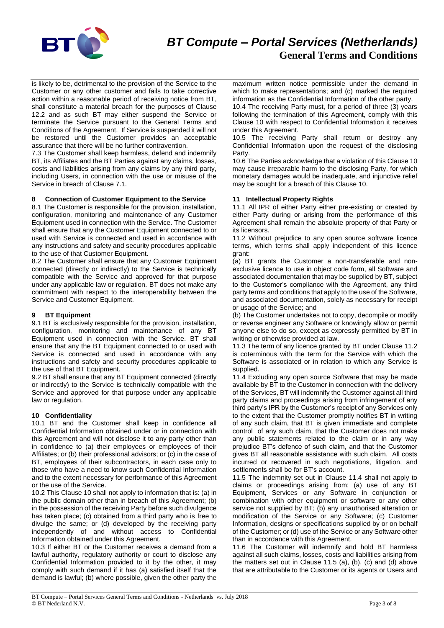

is likely to be, detrimental to the provision of the Service to the Customer or any other customer and fails to take corrective action within a reasonable period of receiving notice from BT, shall constitute a material breach for the purposes of Clause 12.2 and as such BT may either suspend the Service or terminate the Service pursuant to the General Terms and Conditions of the Agreement. If Service is suspended it will not be restored until the Customer provides an acceptable assurance that there will be no further contravention.

7.3 The Customer shall keep harmless, defend and indemnify BT, its Affiliates and the BT Parties against any claims, losses, costs and liabilities arising from any claims by any third party, including Users, in connection with the use or misuse of the Service in breach of Clause 7.1.

# **8 Connection of Customer Equipment to the Service**

8.1 The Customer is responsible for the provision, installation, configuration, monitoring and maintenance of any Customer Equipment used in connection with the Service. The Customer shall ensure that any the Customer Equipment connected to or used with Service is connected and used in accordance with any instructions and safety and security procedures applicable to the use of that Customer Equipment.

8.2 The Customer shall ensure that any Customer Equipment connected (directly or indirectly) to the Service is technically compatible with the Service and approved for that purpose under any applicable law or regulation. BT does not make any commitment with respect to the interoperability between the Service and Customer Equipment.

## **9 BT Equipment**

9.1 BT is exclusively responsible for the provision, installation, configuration, monitoring and maintenance of any BT Equipment used in connection with the Service. BT shall ensure that any the BT Equipment connected to or used with Service is connected and used in accordance with any instructions and safety and security procedures applicable to the use of that BT Equipment.

9.2 BT shall ensure that any BT Equipment connected (directly or indirectly) to the Service is technically compatible with the Service and approved for that purpose under any applicable law or regulation.

# **10 Confidentiality**

10.1 BT and the Customer shall keep in confidence all Confidential Information obtained under or in connection with this Agreement and will not disclose it to any party other than in confidence to (a) their employees or employees of their Affiliates; or (b) their professional advisors; or (c) in the case of BT, employees of their subcontractors, in each case only to those who have a need to know such Confidential Information and to the extent necessary for performance of this Agreement or the use of the Service.

10.2 This Clause 10 shall not apply to information that is: (a) in the public domain other than in breach of this Agreement; (b) in the possession of the receiving Party before such divulgence has taken place; (c) obtained from a third party who is free to divulge the same; or (d) developed by the receiving party independently of and without access to Confidential Information obtained under this Agreement.

10.3 If either BT or the Customer receives a demand from a lawful authority, regulatory authority or court to disclose any Confidential Information provided to it by the other, it may comply with such demand if it has (a) satisfied itself that the demand is lawful; (b) where possible, given the other party the

maximum written notice permissible under the demand in which to make representations; and (c) marked the required information as the Confidential Information of the other party.

10.4 The receiving Party must, for a period of three (3) years following the termination of this Agreement, comply with this Clause 10 with respect to Confidential Information it receives under this Agreement.

10.5 The receiving Party shall return or destroy any Confidential Information upon the request of the disclosing Party.

10.6 The Parties acknowledge that a violation of this Clause 10 may cause irreparable harm to the disclosing Party, for which monetary damages would be inadequate, and injunctive relief may be sought for a breach of this Clause 10.

## **11 Intellectual Property Rights**

11.1 All IPR of either Party either pre-existing or created by either Party during or arising from the performance of this Agreement shall remain the absolute property of that Party or its licensors.

11.2 Without prejudice to any open source software licence terms, which terms shall apply independent of this licence grant:

(a) BT grants the Customer a non-transferable and nonexclusive licence to use in object code form, all Software and associated documentation that may be supplied by BT, subject to the Customer's compliance with the Agreement, any third party terms and conditions that apply to the use of the Software, and associated documentation, solely as necessary for receipt or usage of the Service; and

(b) The Customer undertakes not to copy, decompile or modify or reverse engineer any Software or knowingly allow or permit anyone else to do so, except as expressly permitted by BT in writing or otherwise provided at law.

11.3 The term of any licence granted by BT under Clause 11.2 is coterminous with the term for the Service with which the Software is associated or in relation to which any Service is supplied.

11.4 Excluding any open source Software that may be made available by BT to the Customer in connection with the delivery of the Services, BT will indemnify the Customer against all third party claims and proceedings arising from infringement of any third party's IPR by the Customer's receipt of any Services only to the extent that the Customer promptly notifies BT in writing of any such claim, that BT is given immediate and complete control of any such claim, that the Customer does not make any public statements related to the claim or in any way prejudice BT's defence of such claim, and that the Customer gives BT all reasonable assistance with such claim. All costs incurred or recovered in such negotiations, litigation, and settlements shall be for BT's account.

11.5 The indemnity set out in Clause 11.4 shall not apply to claims or proceedings arising from: (a) use of any BT Equipment, Services or any Software in conjunction or combination with other equipment or software or any other service not supplied by BT; (b) any unauthorised alteration or modification of the Service or any Software; (c) Customer Information, designs or specifications supplied by or on behalf of the Customer; or (d) use of the Service or any Software other than in accordance with this Agreement.

11.6 The Customer will indemnify and hold BT harmless against all such claims, losses, costs and liabilities arising from the matters set out in Clause 11.5 (a), (b), (c) and (d) above that are attributable to the Customer or its agents or Users and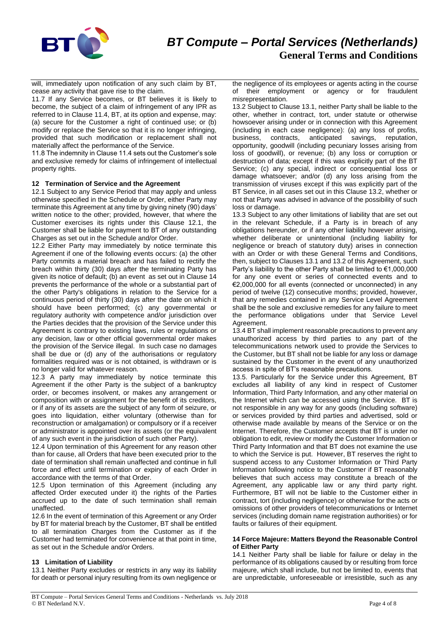

will, immediately upon notification of any such claim by BT, cease any activity that gave rise to the claim.

11.7 If any Service becomes, or BT believes it is likely to become, the subject of a claim of infringement of any IPR as referred to in Clause 11.4, BT, at its option and expense, may: (a) secure for the Customer a right of continued use; or (b) modify or replace the Service so that it is no longer infringing, provided that such modification or replacement shall not materially affect the performance of the Service.

11.8 The indemnity in Clause 11.4 sets out the Customer's sole and exclusive remedy for claims of infringement of intellectual property rights.

## **12 Termination of Service and the Agreement**

12.1 Subject to any Service Period that may apply and unless otherwise specified in the Schedule or Order, either Party may terminate this Agreement at any time by giving ninety (90) days' written notice to the other; provided, however, that where the Customer exercises its rights under this Clause 12.1, the Customer shall be liable for payment to BT of any outstanding Charges as set out in the Schedule and/or Order.

12.2 Either Party may immediately by notice terminate this Agreement if one of the following events occurs: (a) the other Party commits a material breach and has failed to rectify the breach within thirty (30) days after the terminating Party has given its notice of default; (b) an event as set out in Clause 14 prevents the performance of the whole or a substantial part of the other Party's obligations in relation to the Service for a continuous period of thirty (30) days after the date on which it should have been performed; (c) any governmental or regulatory authority with competence and/or jurisdiction over the Parties decides that the provision of the Service under this Agreement is contrary to existing laws, rules or regulations or any decision, law or other official governmental order makes the provision of the Service illegal. In such case no damages shall be due or (d) any of the authorisations or regulatory formalities required was or is not obtained, is withdrawn or is no longer valid for whatever reason.

12.3 A party may immediately by notice terminate this Agreement if the other Party is the subject of a bankruptcy order, or becomes insolvent, or makes any arrangement or composition with or assignment for the benefit of its creditors, or if any of its assets are the subject of any form of seizure, or goes into liquidation, either voluntary (otherwise than for reconstruction or amalgamation) or compulsory or if a receiver or administrator is appointed over its assets (or the equivalent of any such event in the jurisdiction of such other Party).

12.4 Upon termination of this Agreement for any reason other than for cause, all Orders that have been executed prior to the date of termination shall remain unaffected and continue in full force and effect until termination or expiry of each Order in accordance with the terms of that Order.

12.5 Upon termination of this Agreement (including any affected Order executed under it) the rights of the Parties accrued up to the date of such termination shall remain unaffected.

12.6 In the event of termination of this Agreement or any Order by BT for material breach by the Customer, BT shall be entitled to all termination Charges from the Customer as if the Customer had terminated for convenience at that point in time, as set out in the Schedule and/or Orders.

### **13 Limitation of Liability**

13.1 Neither Party excludes or restricts in any way its liability for death or personal injury resulting from its own negligence or

the negligence of its employees or agents acting in the course of their employment or agency or for fraudulent misrepresentation.

13.2 Subject to Clause 13.1, neither Party shall be liable to the other, whether in contract, tort, under statute or otherwise howsoever arising under or in connection with this Agreement (including in each case negligence): (a) any loss of profits, business, contracts, anticipated savings, reputation, opportunity, goodwill (including pecuniary losses arising from loss of goodwill), or revenue; (b) any loss or corruption or destruction of data; except if this was explicitly part of the BT Service; (c) any special, indirect or consequential loss or damage whatsoever; and/or (d) any loss arising from the transmission of viruses except if this was explicitly part of the BT Service, in all cases set out in this Clause 13.2, whether or not that Party was advised in advance of the possibility of such loss or damage.

13.3 Subject to any other limitations of liability that are set out in the relevant Schedule, if a Party is in breach of any obligations hereunder, or if any other liability however arising, whether deliberate or unintentional (including liability for negligence or breach of statutory duty) arises in connection with an Order or with these General Terms and Conditions. then, subject to Clauses 13.1 and 13.2 of this Agreement, such Party's liability to the other Party shall be limited to €1,000,000 for any one event or series of connected events and to €2,000,000 for all events (connected or unconnected) in any period of twelve (12) consecutive months; provided, however, that any remedies contained in any Service Level Agreement shall be the sole and exclusive remedies for any failure to meet the performance obligations under that Service Level Agreement.

13.4 BT shall implement reasonable precautions to prevent any unauthorized access by third parties to any part of the telecommunications network used to provide the Services to the Customer, but BT shall not be liable for any loss or damage sustained by the Customer in the event of any unauthorized access in spite of BT's reasonable precautions.

13.5. Particularly for the Service under this Agreement, BT excludes all liability of any kind in respect of Customer Information, Third Party Information, and any other material on the Internet which can be accessed using the Service. BT is not responsible in any way for any goods (including software) or services provided by third parties and advertised, sold or otherwise made available by means of the Service or on the Internet. Therefore, the Customer accepts that BT is under no obligation to edit, review or modify the Customer Information or Third Party Information and that BT does not examine the use to which the Service is put. However, BT reserves the right to suspend access to any Customer Information or Third Party Information following notice to the Customer if BT reasonably believes that such access may constitute a breach of the Agreement, any applicable law or any third party right. Furthermore, BT will not be liable to the Customer either in contract, tort (including negligence) or otherwise for the acts or omissions of other providers of telecommunications or Internet services (including domain name registration authorities) or for faults or failures of their equipment.

### **14 Force Majeure: Matters Beyond the Reasonable Control of Either Party**

14.1 Neither Party shall be liable for failure or delay in the performance of its obligations caused by or resulting from force majeure, which shall include, but not be limited to, events that are unpredictable, unforeseeable or irresistible, such as any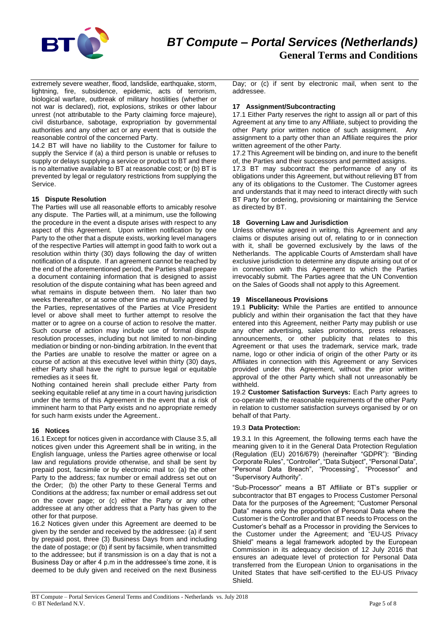

extremely severe weather, flood, landslide, earthquake, storm, lightning, fire, subsidence, epidemic, acts of terrorism, biological warfare, outbreak of military hostilities (whether or not war is declared), riot, explosions, strikes or other labour unrest (not attributable to the Party claiming force majeure), civil disturbance, sabotage, expropriation by governmental authorities and any other act or any event that is outside the reasonable control of the concerned Party.

14.2 BT will have no liability to the Customer for failure to supply the Service if (a) a third person is unable or refuses to supply or delays supplying a service or product to BT and there is no alternative available to BT at reasonable cost; or (b) BT is prevented by legal or regulatory restrictions from supplying the Service.

## **15 Dispute Resolution**

The Parties will use all reasonable efforts to amicably resolve any dispute. The Parties will, at a minimum, use the following the procedure in the event a dispute arises with respect to any aspect of this Agreement. Upon written notification by one Party to the other that a dispute exists, working level managers of the respective Parties will attempt in good faith to work out a resolution within thirty (30) days following the day of written notification of a dispute. If an agreement cannot be reached by the end of the aforementioned period, the Parties shall prepare a document containing information that is designed to assist resolution of the dispute containing what has been agreed and what remains in dispute between them. No later than two weeks thereafter, or at some other time as mutually agreed by the Parties, representatives of the Parties at Vice President level or above shall meet to further attempt to resolve the matter or to agree on a course of action to resolve the matter. Such course of action may include use of formal dispute resolution processes, including but not limited to non-binding mediation or binding or non-binding arbitration. In the event that the Parties are unable to resolve the matter or agree on a course of action at this executive level within thirty (30) days, either Party shall have the right to pursue legal or equitable remedies as it sees fit.

Nothing contained herein shall preclude either Party from seeking equitable relief at any time in a court having jurisdiction under the terms of this Agreement in the event that a risk of imminent harm to that Party exists and no appropriate remedy for such harm exists under the Agreement..

### **16 Notices**

16.1 Except for notices given in accordance with Clause 3.5, all notices given under this Agreement shall be in writing, in the English language, unless the Parties agree otherwise or local law and regulations provide otherwise, and shall be sent by prepaid post, facsimile or by electronic mail to: (a) the other Party to the address; fax number or email address set out on the Order; (b) the other Party to these General Terms and Conditions at the address; fax number or email address set out on the cover page; or (c) either the Party or any other addressee at any other address that a Party has given to the other for that purpose.

16.2 Notices given under this Agreement are deemed to be given by the sender and received by the addressee: (a) if sent by prepaid post, three (3) Business Days from and including the date of postage; or (b) if sent by facsimile, when transmitted to the addressee; but if transmission is on a day that is not a Business Day or after 4 p.m in the addressee's time zone, it is deemed to be duly given and received on the next Business

Day; or (c) if sent by electronic mail, when sent to the addressee.

# **17 Assignment/Subcontracting**

17.1 Either Party reserves the right to assign all or part of this Agreement at any time to any Affiliate, subject to providing the other Party prior written notice of such assignment. Any assignment to a party other than an Affiliate requires the prior written agreement of the other Party.

17.2 This Agreement will be binding on, and inure to the benefit of, the Parties and their successors and permitted assigns.

17.3 BT may subcontract the performance of any of its obligations under this Agreement, but without relieving BT from any of its obligations to the Customer. The Customer agrees and understands that it may need to interact directly with such BT Party for ordering, provisioning or maintaining the Service as directed by BT.

## **18 Governing Law and Jurisdiction**

Unless otherwise agreed in writing, this Agreement and any claims or disputes arising out of, relating to or in connection with it, shall be governed exclusively by the laws of the Netherlands. The applicable Courts of Amsterdam shall have exclusive jurisdiction to determine any dispute arising out of or in connection with this Agreement to which the Parties irrevocably submit. The Parties agree that the UN Convention on the Sales of Goods shall not apply to this Agreement.

## **19 Miscellaneous Provisions**

19.1 **Publicity:** While the Parties are entitled to announce publicly and within their organisation the fact that they have entered into this Agreement, neither Party may publish or use any other advertising, sales promotions, press releases, announcements, or other publicity that relates to this Agreement or that uses the trademark, service mark, trade name, logo or other indicia of origin of the other Party or its Affiliates in connection with this Agreement or any Services provided under this Agreement, without the prior written approval of the other Party which shall not unreasonably be withheld.

19.2 **Customer Satisfaction Surveys:** Each Party agrees to co-operate with the reasonable requirements of the other Party in relation to customer satisfaction surveys organised by or on behalf of that Party.

# 19.3 **Data Protection:**

19.3.1 In this Agreement, the following terms each have the meaning given to it in the General Data Protection Regulation (Regulation (EU) 2016/679) (hereinafter "GDPR"): "Binding Corporate Rules", "Controller", "Data Subject", "Personal Data", "Personal Data Breach", "Processing", "Processor" and "Supervisory Authority".

"Sub-Processor" means a BT Affiliate or BT's supplier or subcontractor that BT engages to Process Customer Personal Data for the purposes of the Agreement; "Customer Personal Data" means only the proportion of Personal Data where the Customer is the Controller and that BT needs to Process on the Customer's behalf as a Processor in providing the Services to the Customer under the Agreement; and "EU-US Privacy Shield" means a legal framework adopted by the European Commission in its adequacy decision of 12 July 2016 that ensures an adequate level of protection for Personal Data transferred from the European Union to organisations in the United States that have self-certified to the EU-US Privacy Shield.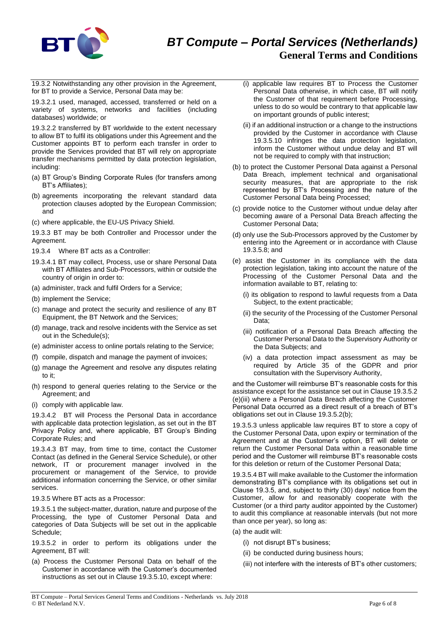

19.3.2 Notwithstanding any other provision in the Agreement, for BT to provide a Service, Personal Data may be:

19.3.2.1 used, managed, accessed, transferred or held on a variety of systems, networks and facilities (including databases) worldwide; or

19.3.2.2 transferred by BT worldwide to the extent necessary to allow BT to fulfil its obligations under this Agreement and the Customer appoints BT to perform each transfer in order to provide the Services provided that BT will rely on appropriate transfer mechanisms permitted by data protection legislation, including:

- (a) BT Group's Binding Corporate Rules (for transfers among BT's Affiliates);
- (b) agreements incorporating the relevant standard data protection clauses adopted by the European Commission; and
- (c) where applicable, the EU-US Privacy Shield.

19.3.3 BT may be both Controller and Processor under the Agreement.

- 19.3.4 Where BT acts as a Controller:
- 19.3.4.1 BT may collect, Process, use or share Personal Data with BT Affiliates and Sub-Processors, within or outside the country of origin in order to:
- (a) administer, track and fulfil Orders for a Service;
- (b) implement the Service;
- (c) manage and protect the security and resilience of any BT Equipment, the BT Network and the Services;
- (d) manage, track and resolve incidents with the Service as set out in the Schedule(s);
- (e) administer access to online portals relating to the Service;
- (f) compile, dispatch and manage the payment of invoices;
- (g) manage the Agreement and resolve any disputes relating to it;
- (h) respond to general queries relating to the Service or the Agreement; and
- (i) comply with applicable law.

19.3.4.2 BT will Process the Personal Data in accordance with applicable data protection legislation, as set out in the BT Privacy Policy and, where applicable, BT Group's Binding Corporate Rules; and

19.3.4.3 BT may, from time to time, contact the Customer Contact (as defined in the General Service Schedule), or other network, IT or procurement manager involved in the procurement or management of the Service, to provide additional information concerning the Service, or other similar services.

19.3.5 Where BT acts as a Processor:

19.3.5.1 the subject-matter, duration, nature and purpose of the Processing, the type of Customer Personal Data and categories of Data Subjects will be set out in the applicable Schedule;

19.3.5.2 in order to perform its obligations under the Agreement, BT will:

(a) Process the Customer Personal Data on behalf of the Customer in accordance with the Customer's documented instructions as set out in Clause 19.3.5.10, except where:

- (i) applicable law requires BT to Process the Customer Personal Data otherwise, in which case, BT will notify the Customer of that requirement before Processing, unless to do so would be contrary to that applicable law on important grounds of public interest;
- (ii) if an additional instruction or a change to the instructions provided by the Customer in accordance with Clause 19.3.5.10 infringes the data protection legislation, inform the Customer without undue delay and BT will not be required to comply with that instruction;
- (b) to protect the Customer Personal Data against a Personal Data Breach, implement technical and organisational security measures, that are appropriate to the risk represented by BT's Processing and the nature of the Customer Personal Data being Processed;
- (c) provide notice to the Customer without undue delay after becoming aware of a Personal Data Breach affecting the Customer Personal Data;
- (d) only use the Sub-Processors approved by the Customer by entering into the Agreement or in accordance with Clause 19.3.5.8; and
- (e) assist the Customer in its compliance with the data protection legislation, taking into account the nature of the Processing of the Customer Personal Data and the information available to BT, relating to:
	- (i) its obligation to respond to lawful requests from a Data Subject, to the extent practicable;
	- (ii) the security of the Processing of the Customer Personal Data;
	- (iii) notification of a Personal Data Breach affecting the Customer Personal Data to the Supervisory Authority or the Data Subjects; and
	- (iv) a data protection impact assessment as may be required by Article 35 of the GDPR and prior consultation with the Supervisory Authority,

and the Customer will reimburse BT's reasonable costs for this assistance except for the assistance set out in Clause 19.3.5.2 (e)(iii) where a Personal Data Breach affecting the Customer Personal Data occurred as a direct result of a breach of BT's obligations set out in Clause 19.3.5.2(b);

19.3.5.3 unless applicable law requires BT to store a copy of the Customer Personal Data, upon expiry or termination of the Agreement and at the Customer's option, BT will delete or return the Customer Personal Data within a reasonable time period and the Customer will reimburse BT's reasonable costs for this deletion or return of the Customer Personal Data;

19.3.5.4 BT will make available to the Customer the information demonstrating BT's compliance with its obligations set out in Clause 19.3.5, and, subject to thirty (30) days' notice from the Customer, allow for and reasonably cooperate with the Customer (or a third party auditor appointed by the Customer) to audit this compliance at reasonable intervals (but not more than once per year), so long as:

- (a) the audit will:
	- (i) not disrupt BT's business;
	- (ii) be conducted during business hours;
	- (iii) not interfere with the interests of BT's other customers;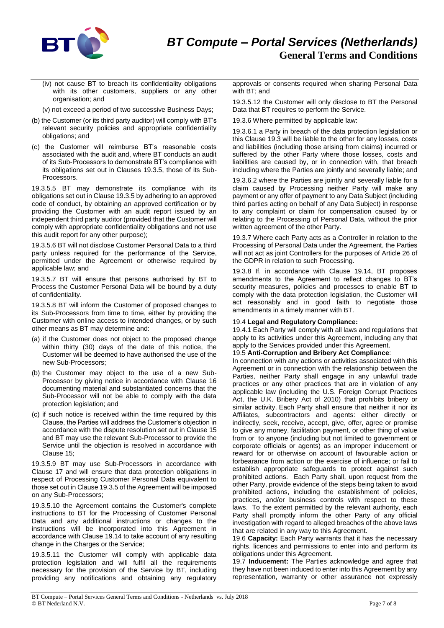

- (iv) not cause BT to breach its confidentiality obligations with its other customers, suppliers or any other organisation; and
- (v) not exceed a period of two successive Business Days;
- (b) the Customer (or its third party auditor) will comply with BT's relevant security policies and appropriate confidentiality obligations; and
- (c) the Customer will reimburse BT's reasonable costs associated with the audit and, where BT conducts an audit of its Sub-Processors to demonstrate BT's compliance with its obligations set out in Clauses 19.3.5, those of its Sub-Processors.

19.3.5.5 BT may demonstrate its compliance with its obligations set out in Clause 19.3.5 by adhering to an approved code of conduct, by obtaining an approved certification or by providing the Customer with an audit report issued by an independent third party auditor (provided that the Customer will comply with appropriate confidentiality obligations and not use this audit report for any other purpose);

19.3.5.6 BT will not disclose Customer Personal Data to a third party unless required for the performance of the Service, permitted under the Agreement or otherwise required by applicable law; and

19.3.5.7 BT will ensure that persons authorised by BT to Process the Customer Personal Data will be bound by a duty of confidentiality.

19.3.5.8 BT will inform the Customer of proposed changes to its Sub-Processors from time to time, either by providing the Customer with online access to intended changes, or by such other means as BT may determine and:

- (a) if the Customer does not object to the proposed change within thirty (30) days of the date of this notice, the Customer will be deemed to have authorised the use of the new Sub-Processors;
- (b) the Customer may object to the use of a new Sub-Processor by giving notice in accordance with Clause 16 documenting material and substantiated concerns that the Sub-Processor will not be able to comply with the data protection legislation; and
- (c) if such notice is received within the time required by this Clause, the Parties will address the Customer's objection in accordance with the dispute resolution set out in Clause 15 and BT may use the relevant Sub-Processor to provide the Service until the objection is resolved in accordance with Clause 15;

19.3.5.9 BT may use Sub-Processors in accordance with Clause 17 and will ensure that data protection obligations in respect of Processing Customer Personal Data equivalent to those set out in Clause 19.3.5 of the Agreement will be imposed on any Sub-Processors;

19.3.5.10 the Agreement contains the Customer's complete instructions to BT for the Processing of Customer Personal Data and any additional instructions or changes to the instructions will be incorporated into this Agreement in accordance with Clause 19.14 to take account of any resulting change in the Charges or the Service;

19.3.5.11 the Customer will comply with applicable data protection legislation and will fulfil all the requirements necessary for the provision of the Service by BT, including providing any notifications and obtaining any regulatory

approvals or consents required when sharing Personal Data with BT; and

19.3.5.12 the Customer will only disclose to BT the Personal Data that BT requires to perform the Service.

19.3.6 Where permitted by applicable law:

19.3.6.1 a Party in breach of the data protection legislation or this Clause 19.3 will be liable to the other for any losses, costs and liabilities (including those arising from claims) incurred or suffered by the other Party where those losses, costs and liabilities are caused by, or in connection with, that breach including where the Parties are jointly and severally liable; and

19.3.6.2 where the Parties are jointly and severally liable for a claim caused by Processing neither Party will make any payment or any offer of payment to any Data Subject (including third parties acting on behalf of any Data Subject) in response to any complaint or claim for compensation caused by or relating to the Processing of Personal Data, without the prior written agreement of the other Party.

19.3.7 Where each Party acts as a Controller in relation to the Processing of Personal Data under the Agreement, the Parties will not act as joint Controllers for the purposes of Article 26 of the GDPR in relation to such Processing.

19.3.8 If, in accordance with Clause 19.14, BT proposes amendments to the Agreement to reflect changes to BT's security measures, policies and processes to enable BT to comply with the data protection legislation, the Customer will act reasonably and in good faith to negotiate those amendments in a timely manner with BT.

# 19.4 **Legal and Regulatory Compliance:**

19.4.1 Each Party will comply with all laws and regulations that apply to its activities under this Agreement, including any that apply to the Services provided under this Agreement.

### 19.5 **Anti-Corruption and Bribery Act Compliance**:

In connection with any actions or activities associated with this Agreement or in connection with the relationship between the Parties, neither Party shall engage in any unlawful trade practices or any other practices that are in violation of any applicable law (including the U.S. Foreign Corrupt Practices Act, the U.K. Bribery Act of 2010) that prohibits bribery or similar activity. Each Party shall ensure that neither it nor its Affiliates, subcontractors and agents: either directly or indirectly, seek, receive, accept, give, offer, agree or promise to give any money, facilitation payment, or other thing of value from or to anyone (including but not limited to government or corporate officials or agents) as an improper inducement or reward for or otherwise on account of favourable action or forbearance from action or the exercise of influence; or fail to establish appropriate safeguards to protect against such prohibited actions. Each Party shall, upon request from the other Party, provide evidence of the steps being taken to avoid prohibited actions, including the establishment of policies, practices, and/or business controls with respect to these laws. To the extent permitted by the relevant authority, each Party shall promptly inform the other Party of any official investigation with regard to alleged breaches of the above laws that are related in any way to this Agreement.

19.6 **Capacity:** Each Party warrants that it has the necessary rights, licences and permissions to enter into and perform its obligations under this Agreement.

19.7 **Inducement:** The Parties acknowledge and agree that they have not been induced to enter into this Agreement by any representation, warranty or other assurance not expressly